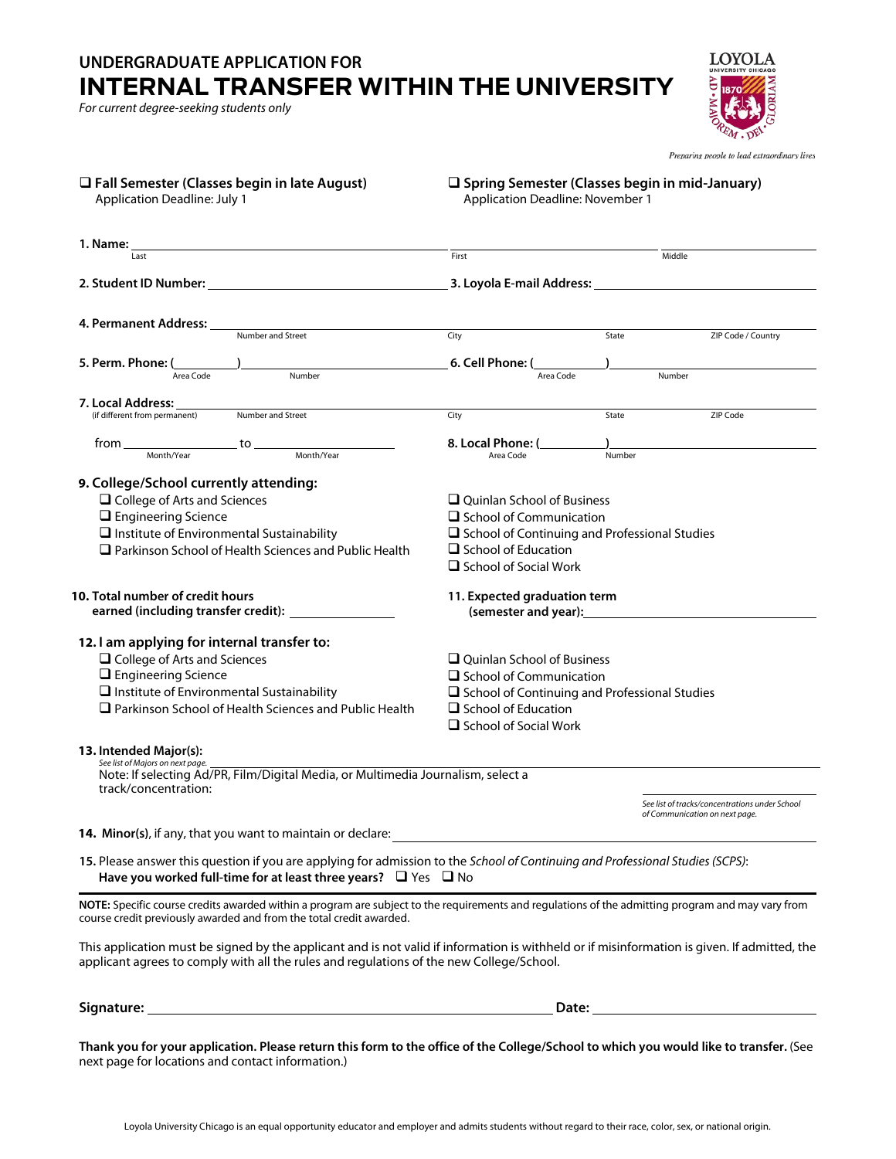## **UNDERGRADUATE APPLICATION FOR INTERNAL TRANSFER WITHIN THE UNIVERSITY**

*For current degree-seeking students only*

**LOYOLA** 

Preparing people to lead extraordinary lives

| □ Fall Semester (Classes begin in late August)<br><b>Application Deadline: July 1</b>                                                                                                                                                    | $\square$ Spring Semester (Classes begin in mid-January)<br>Application Deadline: November 1 |        |                                                                                                                                                                                                                                |  |
|------------------------------------------------------------------------------------------------------------------------------------------------------------------------------------------------------------------------------------------|----------------------------------------------------------------------------------------------|--------|--------------------------------------------------------------------------------------------------------------------------------------------------------------------------------------------------------------------------------|--|
|                                                                                                                                                                                                                                          |                                                                                              |        |                                                                                                                                                                                                                                |  |
| Last                                                                                                                                                                                                                                     | First                                                                                        | Middle |                                                                                                                                                                                                                                |  |
|                                                                                                                                                                                                                                          |                                                                                              |        |                                                                                                                                                                                                                                |  |
| 4. Permanent Address: ____<br><b>Number and Street</b>                                                                                                                                                                                   |                                                                                              |        |                                                                                                                                                                                                                                |  |
|                                                                                                                                                                                                                                          | City                                                                                         | State  | ZIP Code / Country                                                                                                                                                                                                             |  |
| 5. Perm. Phone: (<br>Number<br>Area Code                                                                                                                                                                                                 | 6. Cell Phone: (<br>Area Code                                                                | Number |                                                                                                                                                                                                                                |  |
| 7. Local Address:                                                                                                                                                                                                                        |                                                                                              |        |                                                                                                                                                                                                                                |  |
| Number and Street<br>(if different from permanent)                                                                                                                                                                                       | City                                                                                         | State  | ZIP Code                                                                                                                                                                                                                       |  |
| $from \_\_\_\_\_\_$ to $\_\_\_\_\_\_$ Month/Year $\_\_\_\_\_$ Month/Year $\_\_\_\_\_$                                                                                                                                                    | 8. Local Phone: (<br>Area Code                                                               | Number |                                                                                                                                                                                                                                |  |
|                                                                                                                                                                                                                                          |                                                                                              |        |                                                                                                                                                                                                                                |  |
| 9. College/School currently attending:                                                                                                                                                                                                   |                                                                                              |        |                                                                                                                                                                                                                                |  |
| $\Box$ College of Arts and Sciences<br>$\Box$ Engineering Science                                                                                                                                                                        | $\Box$ Ouinlan School of Business<br>$\Box$ School of Communication                          |        |                                                                                                                                                                                                                                |  |
| $\Box$ Institute of Environmental Sustainability                                                                                                                                                                                         | $\Box$ School of Continuing and Professional Studies                                         |        |                                                                                                                                                                                                                                |  |
| $\Box$ Parkinson School of Health Sciences and Public Health                                                                                                                                                                             | $\Box$ School of Education<br>$\Box$ School of Social Work                                   |        |                                                                                                                                                                                                                                |  |
| 10. Total number of credit hours                                                                                                                                                                                                         | 11. Expected graduation term                                                                 |        |                                                                                                                                                                                                                                |  |
| 12. I am applying for internal transfer to:                                                                                                                                                                                              |                                                                                              |        |                                                                                                                                                                                                                                |  |
| □ College of Arts and Sciences                                                                                                                                                                                                           | $\Box$ Ouinlan School of Business                                                            |        |                                                                                                                                                                                                                                |  |
| $\Box$ Engineering Science                                                                                                                                                                                                               | $\Box$ School of Communication                                                               |        |                                                                                                                                                                                                                                |  |
| $\Box$ Institute of Environmental Sustainability                                                                                                                                                                                         | $\Box$ School of Continuing and Professional Studies                                         |        |                                                                                                                                                                                                                                |  |
| $\Box$ Parkinson School of Health Sciences and Public Health                                                                                                                                                                             | $\Box$ School of Education<br>$\Box$ School of Social Work                                   |        |                                                                                                                                                                                                                                |  |
| 13. Intended Major(s):                                                                                                                                                                                                                   |                                                                                              |        |                                                                                                                                                                                                                                |  |
| See list of Majors on next page.<br>Note: If selecting Ad/PR, Film/Digital Media, or Multimedia Journalism, select a<br>track/concentration:                                                                                             |                                                                                              |        |                                                                                                                                                                                                                                |  |
|                                                                                                                                                                                                                                          |                                                                                              |        | See list of tracks/concentrations under School<br>of Communication on next page.                                                                                                                                               |  |
| 14. Minor(s), if any, that you want to maintain or declare:                                                                                                                                                                              |                                                                                              |        |                                                                                                                                                                                                                                |  |
| 15. Please answer this question if you are applying for admission to the School of Continuing and Professional Studies (SCPS):<br>Have you worked full-time for at least three years? $\Box$ Yes $\Box$ No                               |                                                                                              |        |                                                                                                                                                                                                                                |  |
| NOTE: Specific course credits awarded within a program are subject to the requirements and regulations of the admitting program and may vary from<br>course credit previously awarded and from the total credit awarded.                 |                                                                                              |        |                                                                                                                                                                                                                                |  |
| This application must be signed by the applicant and is not valid if information is withheld or if misinformation is given. If admitted, the<br>applicant agrees to comply with all the rules and regulations of the new College/School. |                                                                                              |        |                                                                                                                                                                                                                                |  |
|                                                                                                                                                                                                                                          |                                                                                              |        | Date: the contract of the contract of the contract of the contract of the contract of the contract of the contract of the contract of the contract of the contract of the contract of the contract of the contract of the cont |  |
|                                                                                                                                                                                                                                          |                                                                                              |        |                                                                                                                                                                                                                                |  |

**Thank you for your application. Please return this form to the office of the College/School to which you would like to transfer.** (See next page for locations and contact information.)